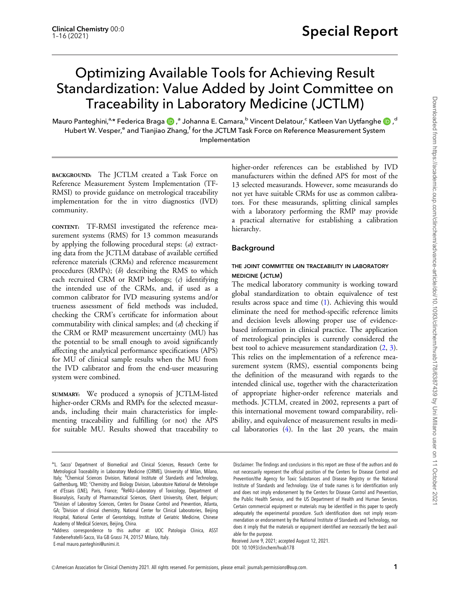# Optimizing Available Tools for Achieving Result Standardization: Value Added by Joint Committee on Traceability in Laboratory Medicine (JCTLM)

Mauro Panteghini,<sup>a,</sup>\* Federica Braga <mark>(b)</mark> ,<sup>a</sup> Johanna E. Camara,<sup>b</sup> Vincent Delatour,<sup>c</sup> Katleen Van Uytfanghe (b) ,<sup>d</sup> Hubert W. Vesper,<sup>e</sup> and Tianjiao Zhang,<sup>f</sup> for the JCTLM Task Force on Reference Measurement System Implementation

BACKGROUND: The JCTLM created a Task Force on Reference Measurement System Implementation (TF-RMSI) to provide guidance on metrological traceability implementation for the in vitro diagnostics (IVD) community.

CONTENT: TF-RMSI investigated the reference measurement systems (RMS) for 13 common measurands by applying the following procedural steps: (a) extracting data from the JCTLM database of available certified reference materials (CRMs) and reference measurement procedures (RMPs);  $(b)$  describing the RMS to which each recruited CRM or RMP belongs; (c) identifying the intended use of the CRMs, and, if used as a common calibrator for IVD measuring systems and/or trueness assessment of field methods was included, checking the CRM's certificate for information about commutability with clinical samples; and (d) checking if the CRM or RMP measurement uncertainty (MU) has the potential to be small enough to avoid significantly affecting the analytical performance specifications (APS) for MU of clinical sample results when the MU from the IVD calibrator and from the end-user measuring system were combined.

SUMMARY: We produced a synopsis of JCTLM-listed higher-order CRMs and RMPs for the selected measurands, including their main characteristics for implementing traceability and fulfilling (or not) the APS for suitable MU. Results showed that traceability to

E-mail [mauro.panteghini@unimi.it](mailto:mauro.panteghini@unimi.it).

higher-order references can be established by IVD manufacturers within the defined APS for most of the 13 selected measurands. However, some measurands do not yet have suitable CRMs for use as common calibrators. For these measurands, splitting clinical samples with a laboratory performing the RMP may provide a practical alternative for establishing a calibration hierarchy.

# Background

# THE JOINT COMMITTEE ON TRACEABILITY IN LABORATORY MEDICINE (JCTLM)

The medical laboratory community is working toward global standardization to obtain equivalence of test results across space and time [\(1](#page-14-0)). Achieving this would eliminate the need for method-specific reference limits and decision levels allowing proper use of evidencebased information in clinical practice. The application of metrological principles is currently considered the best tool to achieve measurement standardization [\(2](#page-14-0), [3\)](#page-14-0). This relies on the implementation of a reference measurement system (RMS), essential components being the definition of the measurand with regards to the intended clinical use, together with the characterization of appropriate higher-order reference materials and methods. JCTLM, created in 2002, represents a part of this international movement toward comparability, reliability, and equivalence of measurement results in medical laboratories  $(4)$  $(4)$ . In the last 20 years, the main

Disclaimer: The findings and conclusions in this report are those of the authors and do not necessarily represent the official position of the Centers for Disease Control and Prevention/the Agency for Toxic Substances and Disease Registry or the National Institute of Standards and Technology. Use of trade names is for identification only and does not imply endorsement by the Centers for Disease Control and Prevention, the Public Health Service, and the US Department of Health and Human Services. Certain commercial equipment or materials may be identified in this paper to specify adequately the experimental procedure. Such identification does not imply recommendation or endorsement by the National Institute of Standards and Technology, nor does it imply that the materials or equipment identified are necessarily the best available for the purpose.

Received June 9, 2021; accepted August 12, 2021. DOI: 10.1093/clinchem/hvab178

a'L. Sacco' Department of Biomedical and Clinical Sciences, Research Centre for Metrological Traceability in Laboratory Medicine (CIRME), University of Milan, Milano, Italy; <sup>b</sup>Chemical Sciences Division, National Institute of Standards and Technology, Gaithersburg, MD; Chemistry and Biology Division, Laboratoire National de Metrologie et d'Essais (LNE), Paris, France; <sup>d</sup>Ref4U-Laboratory of Toxicology, Department of Bioanalysis, Faculty of Pharmaceutical Sciences, Ghent University, Ghent, Belgium; e Division of Laboratory Sciences, Centers for Disease Control and Prevention, Atlanta, GA; <sup>f</sup>Division of clinical chemistry, National Center for Clinical Laboratories, Beijing Hospital, National Center of Gerontology, Institute of Geriatric Medicine, Chinese Academy of Medical Sciences, Beijing, China.

<sup>\*</sup>Address correspondence to this author at: UOC Patologia Clinica, ASST Fatebenefratelli-Sacco, Via GB Grassi 74, 20157 Milano, Italy.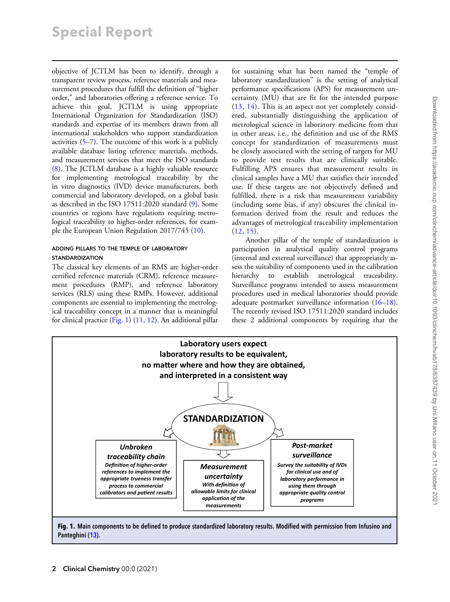objective of JCTLM has been to identify, through a transparent review process, reference materials and measurement procedures that fulfill the definition of "higher order," and laboratories offering a reference service. To achieve this goal, JCTLM is using appropriate International Organization for Standardization (ISO) standards and expertise of its members drawn from all international stakeholders who support standardization activities ([5–7\)](#page-14-0). The outcome of this work is a publicly available database listing reference materials, methods, and measurement services that meet the ISO standards ([8\)](#page-14-0). The JCTLM database is a highly valuable resource for implementing metrological traceability by the in vitro diagnostics (IVD) device manufacturers, both commercial and laboratory developed, on a global basis as described in the ISO 17511:2020 standard ([9\)](#page-14-0). Some countries or regions have regulations requiring metrological traceability to higher-order references, for example the European Union Regulation 2017/745 [\(10](#page-14-0)).

#### ADDING PILLARS TO THE TEMPLE OF LABORATORY STANDARDIZATION

The classical key elements of an RMS are higher-order certified reference materials (CRM), reference measurement procedures (RMP), and reference laboratory services (RLS) using these RMPs. However, additional components are essential to implementing the metrological traceability concept in a manner that is meaningful for clinical practice (Fig. 1) [\(11](#page-14-0), [12](#page-14-0)). An additional pillar for sustaining what has been named the "temple of laboratory standardization" is the setting of analytical performance specifications (APS) for measurement uncertainty (MU) that are fit for the intended purpose ([13,](#page-14-0) [14](#page-14-0)). This is an aspect not yet completely considered, substantially distinguishing the application of metrological science in laboratory medicine from that in other areas, i.e., the definition and use of the RMS concept for standardization of measurements must be closely associated with the setting of targets for MU to provide test results that are clinically suitable. Fulfilling APS ensures that measurement results in clinical samples have a MU that satisfies their intended use. If these targets are not objectively defined and fulfilled, there is a risk that measurement variability (including some bias, if any) obscures the clinical information derived from the result and reduces the advantages of metrological traceability implementation ([12,](#page-14-0) [15](#page-14-0)).

Another pillar of the temple of standardization is participation in analytical quality control programs (internal and external surveillance) that appropriately assess the suitability of components used in the calibration hierarchy to establish metrological traceability. Surveillance programs intended to assess measurement procedures used in medical laboratories should provide adequate postmarket surveillance information ([16–18\)](#page-14-0). The recently revised ISO 17511:2020 standard includes these 2 additional components by requiring that the



Fig. 1. Main components to be defined to produce standardized laboratory results. Modified with permission from Infusino and Panteghini ([13\)](#page-14-0).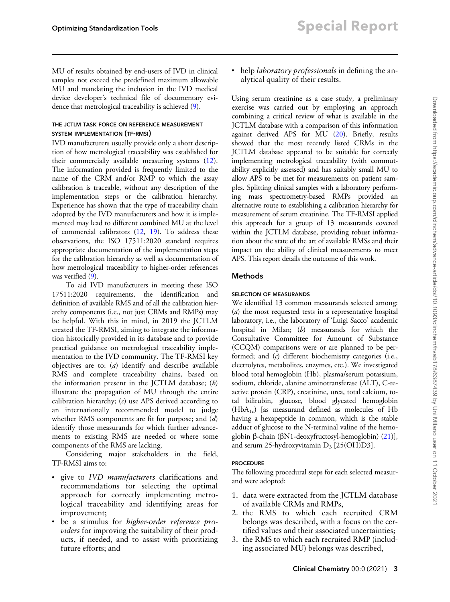MU of results obtained by end-users of IVD in clinical samples not exceed the predefined maximum allowable MU and mandating the inclusion in the IVD medical device developer's technical file of documentary evidence that metrological traceability is achieved [\(9](#page-14-0)).

### THE JCTLM TASK FORCE ON REFERENCE MEASUREMENT SYSTEM IMPLEMENTATION (TF-RMSI)

IVD manufacturers usually provide only a short description of how metrological traceability was established for their commercially available measuring systems ([12\)](#page-14-0). The information provided is frequently limited to the name of the CRM and/or RMP to which the assay calibration is traceable, without any description of the implementation steps or the calibration hierarchy. Experience has shown that the type of traceability chain adopted by the IVD manufacturers and how it is implemented may lead to different combined MU at the level of commercial calibrators ([12,](#page-14-0) [19](#page-14-0)). To address these observations, the ISO 17511:2020 standard requires appropriate documentation of the implementation steps for the calibration hierarchy as well as documentation of how metrological traceability to higher-order references was verified ([9\)](#page-14-0).

To aid IVD manufacturers in meeting these ISO 17511:2020 requirements, the identification and definition of available RMS and of all the calibration hierarchy components (i.e., not just CRMs and RMPs) may be helpful. With this in mind, in 2019 the JCTLM created the TF-RMSI, aiming to integrate the information historically provided in its database and to provide practical guidance on metrological traceability implementation to the IVD community. The TF-RMSI key objectives are to: (a) identify and describe available RMS and complete traceability chains, based on the information present in the JCTLM database;  $(b)$ illustrate the propagation of MU through the entire calibration hierarchy;  $(c)$  use APS derived according to an internationally recommended model to judge whether RMS components are fit for purpose; and (d) identify those measurands for which further advancements to existing RMS are needed or where some components of the RMS are lacking.

Considering major stakeholders in the field, TF-RMSI aims to:

- give to *IVD manufacturers* clarifications and recommendations for selecting the optimal approach for correctly implementing metrological traceability and identifying areas for improvement;
- be a stimulus for *higher-order reference pro*viders for improving the suitability of their products, if needed, and to assist with prioritizing future efforts; and

• help *laboratory professionals* in defining the analytical quality of their results.

Using serum creatinine as a case study, a preliminary exercise was carried out by employing an approach combining a critical review of what is available in the JCTLM database with a comparison of this information against derived APS for MU [\(20](#page-14-0)). Briefly, results showed that the most recently listed CRMs in the JCTLM database appeared to be suitable for correctly implementing metrological traceability (with commutability explicitly assessed) and has suitably small MU to allow APS to be met for measurements on patient samples. Splitting clinical samples with a laboratory performing mass spectrometry-based RMPs provided an alternative route to establishing a calibration hierarchy for measurement of serum creatinine. The TF-RMSI applied this approach for a group of 13 measurands covered within the JCTLM database, providing robust information about the state of the art of available RMSs and their impact on the ability of clinical measurements to meet APS. This report details the outcome of this work.

# Methods

# SELECTION OF MEASURANDS

We identified 13 common measurands selected among: (a) the most requested tests in a representative hospital laboratory, i.e., the laboratory of 'Luigi Sacco' academic hospital in Milan; (b) measurands for which the Consultative Committee for Amount of Substance (CCQM) comparisons were or are planned to be performed; and (c) different biochemistry categories (i.e., electrolytes, metabolites, enzymes, etc.). We investigated blood total hemoglobin (Hb), plasma/serum potassium, sodium, chloride, alanine aminotransferase (ALT), C-reactive protein (CRP), creatinine, urea, total calcium, total bilirubin, glucose, blood glycated hemoglobin (HbA1c) [as measurand defined as molecules of Hb having a hexapeptide in common, which is the stable adduct of glucose to the N-terminal valine of the hemoglobin b-chain (bN1-deoxyfructosyl-hemoglobin) ([21\)](#page-14-0)], and serum 25-hydroxyvitamin  $D_3$  [25(OH)D3].

### **PROCEDURE**

The following procedural steps for each selected measurand were adopted:

- 1. data were extracted from the JCTLM database of available CRMs and RMPs,
- 2. the RMS to which each recruited CRM belongs was described, with a focus on the certified values and their associated uncertainties;
- 3. the RMS to which each recruited RMP (including associated MU) belongs was described,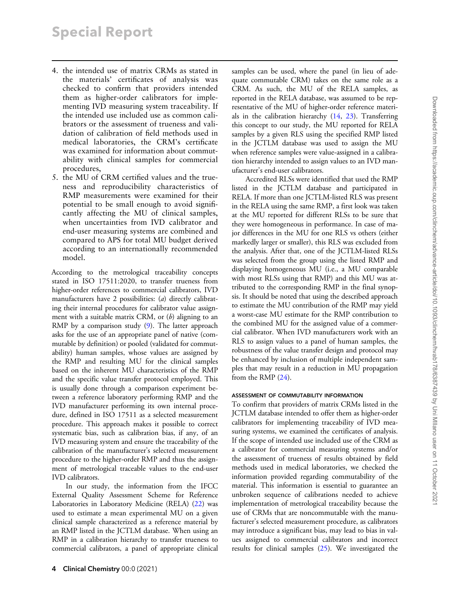# Special Report

- 4. the intended use of matrix CRMs as stated in the materials' certificates of analysis was checked to confirm that providers intended them as higher-order calibrators for implementing IVD measuring system traceability. If the intended use included use as common calibrators or the assessment of trueness and validation of calibration of field methods used in medical laboratories, the CRM's certificate was examined for information about commutability with clinical samples for commercial procedures,
- 5. the MU of CRM certified values and the trueness and reproducibility characteristics of RMP measurements were examined for their potential to be small enough to avoid significantly affecting the MU of clinical samples, when uncertainties from IVD calibrator and end-user measuring systems are combined and compared to APS for total MU budget derived according to an internationally recommended model.

According to the metrological traceability concepts stated in ISO 17511:2020, to transfer trueness from higher-order references to commercial calibrators, IVD manufacturers have 2 possibilities: (a) directly calibrating their internal procedures for calibrator value assignment with a suitable matrix CRM, or  $(b)$  aligning to an RMP by a comparison study [\(9](#page-14-0)). The latter approach asks for the use of an appropriate panel of native (commutable by definition) or pooled (validated for commutability) human samples, whose values are assigned by the RMP and resulting MU for the clinical samples based on the inherent MU characteristics of the RMP and the specific value transfer protocol employed. This is usually done through a comparison experiment between a reference laboratory performing RMP and the IVD manufacturer performing its own internal procedure, defined in ISO 17511 as a selected measurement procedure. This approach makes it possible to correct systematic bias, such as calibration bias, if any, of an IVD measuring system and ensure the traceability of the calibration of the manufacturer's selected measurement procedure to the higher-order RMP and thus the assignment of metrological traceable values to the end-user IVD calibrators.

In our study, the information from the IFCC External Quality Assessment Scheme for Reference Laboratories in Laboratory Medicine (RELA) ([22\)](#page-14-0) was used to estimate a mean experimental MU on a given clinical sample characterized as a reference material by an RMP listed in the JCTLM database. When using an RMP in a calibration hierarchy to transfer trueness to commercial calibrators, a panel of appropriate clinical

4 Clinical Chemistry 00:0 (2021)

samples can be used, where the panel (in lieu of adequate commutable CRM) takes on the same role as a CRM. As such, the MU of the RELA samples, as reported in the RELA database, was assumed to be representative of the MU of higher-order reference materials in the calibration hierarchy ([14,](#page-14-0) [23\)](#page-14-0). Transferring this concept to our study, the MU reported for RELA samples by a given RLS using the specified RMP listed in the JCTLM database was used to assign the MU when reference samples were value-assigned in a calibration hierarchy intended to assign values to an IVD manufacturer's end-user calibrators.

Accredited RLSs were identified that used the RMP listed in the JCTLM database and participated in RELA. If more than one JCTLM-listed RLS was present in the RELA using the same RMP, a first look was taken at the MU reported for different RLSs to be sure that they were homogeneous in performance. In case of major differences in the MU for one RLS vs others (either markedly larger or smaller), this RLS was excluded from the analysis. After that, one of the JCTLM-listed RLSs was selected from the group using the listed RMP and displaying homogeneous MU (i.e., a MU comparable with most RLSs using that RMP) and this MU was attributed to the corresponding RMP in the final synopsis. It should be noted that using the described approach to estimate the MU contribution of the RMP may yield a worst-case MU estimate for the RMP contribution to the combined MU for the assigned value of a commercial calibrator. When IVD manufacturers work with an RLS to assign values to a panel of human samples, the robustness of the value transfer design and protocol may be enhanced by inclusion of multiple independent samples that may result in a reduction in MU propagation from the RMP ([24\)](#page-14-0).

#### ASSESSMENT OF COMMUTABILITY INFORMATION

To confirm that providers of matrix CRMs listed in the JCTLM database intended to offer them as higher-order calibrators for implementing traceability of IVD measuring systems, we examined the certificates of analysis. If the scope of intended use included use of the CRM as a calibrator for commercial measuring systems and/or the assessment of trueness of results obtained by field methods used in medical laboratories, we checked the information provided regarding commutability of the material. This information is essential to guarantee an unbroken sequence of calibrations needed to achieve implementation of metrological traceability because the use of CRMs that are noncommutable with the manufacturer's selected measurement procedure, as calibrators may introduce a significant bias, may lead to bias in values assigned to commercial calibrators and incorrect results for clinical samples [\(25](#page-14-0)). We investigated the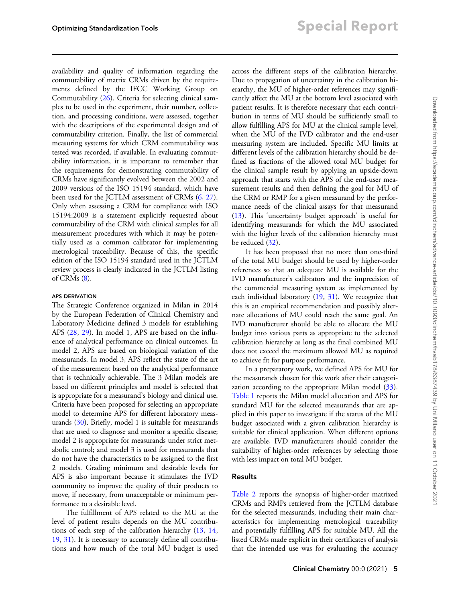availability and quality of information regarding the commutability of matrix CRMs driven by the requirements defined by the IFCC Working Group on Commutability [\(26](#page-14-0)). Criteria for selecting clinical samples to be used in the experiment, their number, collection, and processing conditions, were assessed, together with the descriptions of the experimental design and of commutability criterion. Finally, the list of commercial measuring systems for which CRM commutability was tested was recorded, if available. In evaluating commutability information, it is important to remember that the requirements for demonstrating commutability of CRMs have significantly evolved between the 2002 and 2009 versions of the ISO 15194 standard, which have been used for the JCTLM assessment of CRMs [\(6](#page-14-0), [27\)](#page-14-0). Only when assessing a CRM for compliance with ISO 15194:2009 is a statement explicitly requested about commutability of the CRM with clinical samples for all measurement procedures with which it may be potentially used as a common calibrator for implementing metrological traceability. Because of this, the specific edition of the ISO 15194 standard used in the JCTLM review process is clearly indicated in the JCTLM listing of CRMs  $(8)$  $(8)$ .

#### APS DERIVATION

The Strategic Conference organized in Milan in 2014 by the European Federation of Clinical Chemistry and Laboratory Medicine defined 3 models for establishing APS [\(28](#page-15-0), [29](#page-15-0)). In model 1, APS are based on the influence of analytical performance on clinical outcomes. In model 2, APS are based on biological variation of the measurands. In model 3, APS reflect the state of the art of the measurement based on the analytical performance that is technically achievable. The 3 Milan models are based on different principles and model is selected that is appropriate for a measurand's biology and clinical use. Criteria have been proposed for selecting an appropriate model to determine APS for different laboratory measurands [\(30](#page-15-0)). Briefly, model 1 is suitable for measurands that are used to diagnose and monitor a specific disease; model 2 is appropriate for measurands under strict metabolic control; and model 3 is used for measurands that do not have the characteristics to be assigned to the first 2 models. Grading minimum and desirable levels for APS is also important because it stimulates the IVD community to improve the quality of their products to move, if necessary, from unacceptable or minimum performance to a desirable level.

The fulfillment of APS related to the MU at the level of patient results depends on the MU contributions of each step of the calibration hierarchy ([13,](#page-14-0) [14,](#page-14-0) [19](#page-14-0), [31\)](#page-15-0). It is necessary to accurately define all contributions and how much of the total MU budget is used across the different steps of the calibration hierarchy. Due to propagation of uncertainty in the calibration hierarchy, the MU of higher-order references may significantly affect the MU at the bottom level associated with patient results. It is therefore necessary that each contribution in terms of MU should be sufficiently small to allow fulfilling APS for MU at the clinical sample level, when the MU of the IVD calibrator and the end-user measuring system are included. Specific MU limits at different levels of the calibration hierarchy should be defined as fractions of the allowed total MU budget for the clinical sample result by applying an upside-down approach that starts with the APS of the end-user measurement results and then defining the goal for MU of the CRM or RMP for a given measurand by the performance needs of the clinical assays for that measurand [\(13\)](#page-14-0). This 'uncertainty budget approach' is useful for identifying measurands for which the MU associated with the higher levels of the calibration hierarchy must be reduced ([32\)](#page-15-0).

It has been proposed that no more than one-third of the total MU budget should be used by higher-order references so that an adequate MU is available for the IVD manufacturer's calibrators and the imprecision of the commercial measuring system as implemented by each individual laboratory ([19,](#page-14-0) [31](#page-15-0)). We recognize that this is an empirical recommendation and possibly alternate allocations of MU could reach the same goal. An IVD manufacturer should be able to allocate the MU budget into various parts as appropriate to the selected calibration hierarchy as long as the final combined MU does not exceed the maximum allowed MU as required to achieve fit for purpose performance.

In a preparatory work, we defined APS for MU for the measurands chosen for this work after their categorization according to the appropriate Milan model  $(33)$  $(33)$ . [Table 1](#page-5-0) reports the Milan model allocation and APS for standard MU for the selected measurands that are applied in this paper to investigate if the status of the MU budget associated with a given calibration hierarchy is suitable for clinical application. When different options are available, IVD manufacturers should consider the suitability of higher-order references by selecting those with less impact on total MU budget.

#### Results

[Table 2](#page-6-0) reports the synopsis of higher-order matrixed CRMs and RMPs retrieved from the JCTLM database for the selected measurands, including their main characteristics for implementing metrological traceability and potentially fulfilling APS for suitable MU. All the listed CRMs made explicit in their certificates of analysis that the intended use was for evaluating the accuracy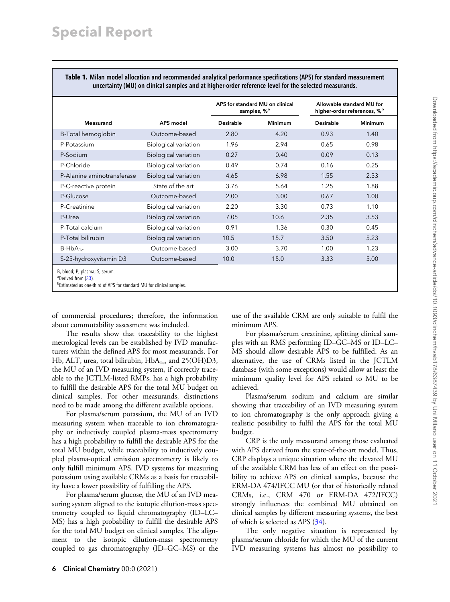<span id="page-5-0"></span>Table 1. Milan model allocation and recommended analytical performance specifications (APS) for standard measurement uncertainty (MU) on clinical samples and at higher-order reference level for the selected measurands.

|                                                                                                                                                       |                             |                  | APS for standard MU on clinical<br>samples, % <sup>a</sup> |           | Allowable standard MU for<br>higher-order references, % <sup>b</sup> |
|-------------------------------------------------------------------------------------------------------------------------------------------------------|-----------------------------|------------------|------------------------------------------------------------|-----------|----------------------------------------------------------------------|
| Measurand                                                                                                                                             | APS model                   | <b>Desirable</b> | Minimum                                                    | Desirable | <b>Minimum</b>                                                       |
| B-Total hemoglobin                                                                                                                                    | Outcome-based               | 2.80             | 4.20                                                       | 0.93      | 1.40                                                                 |
| P-Potassium                                                                                                                                           | Biological variation        | 1.96             | 2.94                                                       | 0.65      | 0.98                                                                 |
| P-Sodium                                                                                                                                              | <b>Biological variation</b> | 0.27             | 0.40                                                       | 0.09      | 0.13                                                                 |
| P-Chloride                                                                                                                                            | Biological variation        | 0.49             | 0.74                                                       | 0.16      | 0.25                                                                 |
| P-Alanine aminotransferase                                                                                                                            | <b>Biological variation</b> | 4.65             | 6.98                                                       | 1.55      | 2.33                                                                 |
| P-C-reactive protein                                                                                                                                  | State of the art            | 3.76             | 5.64                                                       | 1.25      | 1.88                                                                 |
| P-Glucose                                                                                                                                             | Outcome-based               | 2.00             | 3.00                                                       | 0.67      | 1.00                                                                 |
| P-Creatinine                                                                                                                                          | Biological variation        | 2.20             | 3.30                                                       | 0.73      | 1.10                                                                 |
| P-Urea                                                                                                                                                | <b>Biological variation</b> | 7.05             | 10.6                                                       | 2.35      | 3.53                                                                 |
| P-Total calcium                                                                                                                                       | Biological variation        | 0.91             | 1.36                                                       | 0.30      | 0.45                                                                 |
| P-Total bilirubin                                                                                                                                     | <b>Biological variation</b> | 10.5             | 15.7                                                       | 3.50      | 5.23                                                                 |
| $B-HbA_{1c}$                                                                                                                                          | Outcome-based               | 3.00             | 3.70                                                       | 1.00      | 1.23                                                                 |
| S-25-hydroxyvitamin D3                                                                                                                                | Outcome-based               | 10.0             | 15.0                                                       | 3.33      | 5.00                                                                 |
| B, blood; P, plasma; S, serum.<br><sup>a</sup> Derived from (33).<br><sup>b</sup> Estimated as one-third of APS for standard MU for clinical samples. |                             |                  |                                                            |           |                                                                      |

of commercial procedures; therefore, the information about commutability assessment was included.

The results show that traceability to the highest metrological levels can be established by IVD manufacturers within the defined APS for most measurands. For Hb, ALT, urea, total bilirubin,  $HbA_{1c}$ , and 25(OH)D3, the MU of an IVD measuring system, if correctly traceable to the JCTLM-listed RMPs, has a high probability to fulfill the desirable APS for the total MU budget on clinical samples. For other measurands, distinctions need to be made among the different available options.

For plasma/serum potassium, the MU of an IVD measuring system when traceable to ion chromatography or inductively coupled plasma-mass spectrometry has a high probability to fulfill the desirable APS for the total MU budget, while traceability to inductively coupled plasma-optical emission spectrometry is likely to only fulfill minimum APS. IVD systems for measuring potassium using available CRMs as a basis for traceability have a lower possibility of fulfilling the APS.

For plasma/serum glucose, the MU of an IVD measuring system aligned to the isotopic dilution-mass spectrometry coupled to liquid chromatography (ID–LC– MS) has a high probability to fulfill the desirable APS for the total MU budget on clinical samples. The alignment to the isotopic dilution-mass spectrometry coupled to gas chromatography (ID–GC–MS) or the use of the available CRM are only suitable to fulfil the minimum APS.

For plasma/serum creatinine, splitting clinical samples with an RMS performing ID–GC–MS or ID–LC– MS should allow desirable APS to be fulfilled. As an alternative, the use of CRMs listed in the JCTLM database (with some exceptions) would allow at least the minimum quality level for APS related to MU to be achieved.

Plasma/serum sodium and calcium are similar showing that traceability of an IVD measuring system to ion chromatography is the only approach giving a realistic possibility to fulfil the APS for the total MU budget.

CRP is the only measurand among those evaluated with APS derived from the state-of-the-art model. Thus, CRP displays a unique situation where the elevated MU of the available CRM has less of an effect on the possibility to achieve APS on clinical samples, because the ERM-DA 474/IFCC MU (or that of historically related CRMs, i.e., CRM 470 or ERM-DA 472/IFCC) strongly influences the combined MU obtained on clinical samples by different measuring systems, the best of which is selected as APS [\(34](#page-15-0)).

The only negative situation is represented by plasma/serum chloride for which the MU of the current IVD measuring systems has almost no possibility to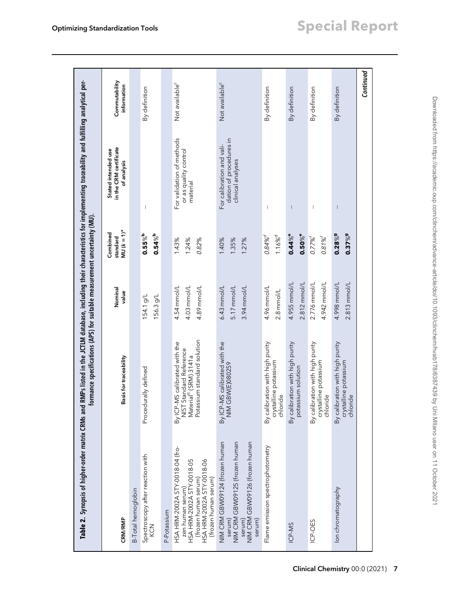<span id="page-6-0"></span>

| Table 2. Synopsis of higher-order matrix CRMs and RMPs listed in the JCTLM database, including their characteristics for implementing traceability and fulfilling analytical per- | formance specifications (APS) for suitable measurement uncertainty (MU).                                         |                                             |                                             |                                                                           |                              |
|-----------------------------------------------------------------------------------------------------------------------------------------------------------------------------------|------------------------------------------------------------------------------------------------------------------|---------------------------------------------|---------------------------------------------|---------------------------------------------------------------------------|------------------------------|
| CRM/RMP                                                                                                                                                                           | Basis for traceability                                                                                           | Nominal<br>value                            | MU $(k = 1)^a$<br>Combined<br>standard      | in the CRM certificate<br>Stated intended use<br>of analysis              | Commutability<br>information |
| B-Total hemoglobin                                                                                                                                                                |                                                                                                                  |                                             |                                             |                                                                           |                              |
| Spectroscopy after reaction with<br>KCN                                                                                                                                           | Procedurally defined                                                                                             | 154.1 g/L<br>156.3 g/L                      | $0.55\%$<br>$0.54\%$ b                      |                                                                           | By definition                |
| P-Potassium                                                                                                                                                                       |                                                                                                                  |                                             |                                             |                                                                           |                              |
| HSA HRM-2002A STY-0018-04 (fro-<br>HSA HRM-2002A STY-0018-05<br>(frozen human serum)<br>HSA HRM-2002A STY-0018-06<br>(frozen human serum)<br>zen human serum)                     | Potassium standard solution<br>By ICP-MS calibrated with the<br>NIST Standard Reference<br>Material® (SRM) 3141a | 4.54 mmol/L<br>4.03 mmol/L<br>4.89 mmol/L   | 1.43%<br>1.24%<br>0.82%                     | For validation of methods<br>or as quality control<br>material            | Not available <sup>c</sup>   |
| NIM CRM GBW09125 (frozen human<br>NIM CRM GBW09124 (frozen human<br>serum)<br>NIM CRM GBW09126 (frozen human<br>serum)<br>serum)                                                  | By ICP-MS calibrated with the<br>GBW(E)080259<br>$\mathop{\geqq}_{\mathop{\sum}}$                                | $6.43$ mmol/L<br>5.17 mmol/L<br>3.94 mmol/L | 1.40%<br>1.35%<br>1.27%                     | dation of procedures in<br>For calibration and vali-<br>clinical analyses | Not available <sup>c</sup>   |
| Flame emission spectrophotometry                                                                                                                                                  | By calibration with high purity<br>crystalline potassium<br>chloride                                             | 4.96 mmol/L<br>$2.8$ mmol/L                 | 1.16% <sup>d</sup><br>$0.84\%$ <sup>d</sup> |                                                                           | By definition                |
| ICP-MS                                                                                                                                                                            | By calibration with high purity<br>potassium solution                                                            | 4.955 mmol/L<br>2.812 mmol/L                | $0.50\%$ e<br>$0.44\%$ e                    |                                                                           | By definition                |
| ICP-OES                                                                                                                                                                           | By calibration with high purity<br>crystalline potassium<br>chloride                                             | 2.776 mmol/L<br>4.942 mmol/L                | $0.81\%$<br>$0.77%^{f}$                     |                                                                           | By definition                |
| lon chromatography                                                                                                                                                                | By calibration with high purity<br>crystalline potassium<br>chloride                                             | 4.998 mmol/L<br>$2.813$ mmol/L              | $0.28\%$ 9<br>$0.37\%$ <sup>9</sup>         |                                                                           | By definition                |
|                                                                                                                                                                                   |                                                                                                                  |                                             |                                             |                                                                           | Continued                    |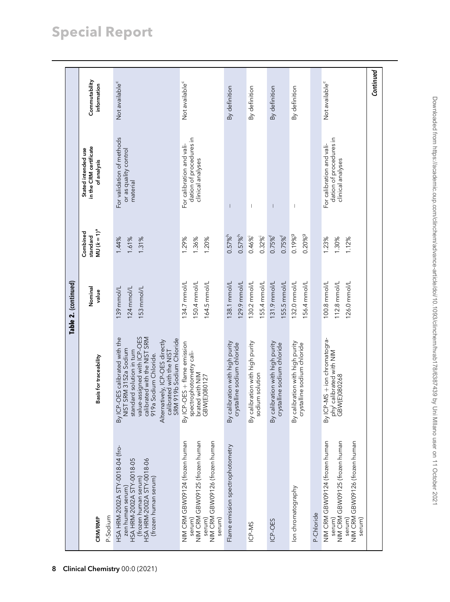|                                                                                                                                           |                                                                                                                                                                                                                                                                         | Table 2. (continued)                         |                                                |                                                                           |                              |
|-------------------------------------------------------------------------------------------------------------------------------------------|-------------------------------------------------------------------------------------------------------------------------------------------------------------------------------------------------------------------------------------------------------------------------|----------------------------------------------|------------------------------------------------|---------------------------------------------------------------------------|------------------------------|
|                                                                                                                                           | Basis for traceability                                                                                                                                                                                                                                                  | Nominal<br>value                             | $MU (k = 1)^a$<br>Combined<br>standard         | in the CRM certificate<br>Stated intended use<br>of analysis              | Commutability<br>information |
| HSA HRM-2002A STY-0018-04 (fro-<br>HSA HRM-2002A STY-0018-06<br>HSA HRM-2002A STY-0018-05<br>(frozen human serum)<br>(frozen human serum) | By ICP-OES calibrated with the<br>value-assigned with ICP-OES<br>calibrated with the NIST SRM<br>919a Sodium Chloride.<br>calibrated with the NIST<br>SRM 919b Sodium Chloride<br>Alternatively, ICP-OES directly<br>NIST SRM 3152a Sodium<br>standard solution in turn | 139 mmol/L<br>124 mmol/L<br>53 mmol/L        | 1.44%<br>1.61%<br>1.31%                        | For validation of methods<br>or as quality control<br>material            | Not available <sup>c</sup>   |
| NIM CRM GBW09125 (frozen human<br>NIM CRM GBW09126 (frozen human<br>NIM CRM GBW09124 (frozen human                                        | By ICP-OES + flame emission<br>spectrophotometry cali-<br>brated with NIM<br>GBW(E)080127                                                                                                                                                                               | 150.4 mmol/L<br>134.7 mmol/L<br>164.5 mmol/L | 1.36%<br>1.29%<br>1.20%                        | dation of procedures in<br>For calibration and vali-<br>clinical analyses | Not available <sup>c</sup>   |
| Flame emission spectrophotometry                                                                                                          | By calibration with high purity<br>crystalline sodium chloride                                                                                                                                                                                                          | 129.9 mmol/L<br>138.1 mmol/L                 | $0.57\%$ <sup>h</sup><br>$0.57\%$ <sup>h</sup> |                                                                           | By definition                |
|                                                                                                                                           | By calibration with high purity<br>sodium solution                                                                                                                                                                                                                      | 30.2 mmol/L<br>55.4 mmol/L                   | $0.32\%$<br>$0.46\%$                           |                                                                           | By definition                |
|                                                                                                                                           | By calibration with high purity<br>crystalline sodium chloride                                                                                                                                                                                                          | 55.5 mmol/L<br>131.9 mmol/L                  | $0.75\%$ <sup>f</sup><br>$0.75\%$ <sup>f</sup> |                                                                           | By definition                |
|                                                                                                                                           | By calibration with high purity<br>crystalline sodium chloride                                                                                                                                                                                                          | 132.0 mmol/L<br>156.4 mmol/L                 | 0.19%9<br>$0.20\%$ <sup>9</sup>                |                                                                           | By definition                |
| NIM CRM GBW09124 (frozen human<br>NIM CRM GBW09125 (frozen human<br>NIM CRM GBW09126 (frozen human                                        | By ICP-MS + ion chromatogra-<br>phy <sup>j</sup> calibrated with NIM<br>GBW(E)080268                                                                                                                                                                                    | 112.8 mmol/L<br>100.8 mmol/L<br>126.0 mmol/L | 1.23%<br>1.30%<br>1.12%                        | dation of procedures in<br>For calibration and vali-<br>clinical analyses | Not available <sup>c</sup>   |
|                                                                                                                                           |                                                                                                                                                                                                                                                                         |                                              |                                                |                                                                           | Continued                    |

# Special Report

8 Clinical Chemistry 00:0 (2021)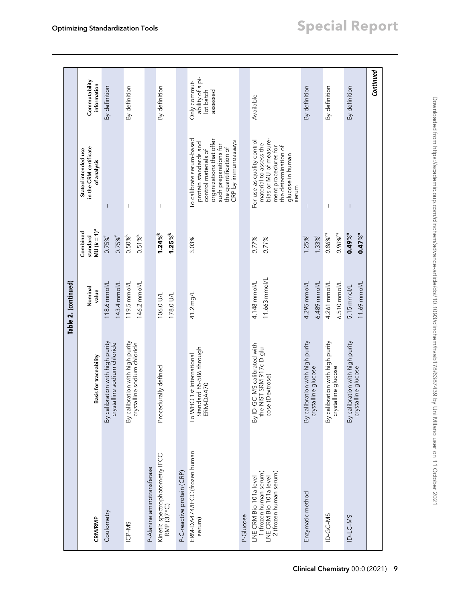|                                                                                                      |                                                                            | Table 2. (continued)          |                                                |                                                                                                                                                                                |                                                           |
|------------------------------------------------------------------------------------------------------|----------------------------------------------------------------------------|-------------------------------|------------------------------------------------|--------------------------------------------------------------------------------------------------------------------------------------------------------------------------------|-----------------------------------------------------------|
|                                                                                                      |                                                                            | Nominal                       | Combined<br>standard                           | in the CRM certificate<br>Stated intended use                                                                                                                                  | Commutability                                             |
| CRM/RMP                                                                                              | Basis for traceability                                                     | value                         | $MU (k = 1)^a$                                 | of analysis                                                                                                                                                                    | information                                               |
| Coulometry                                                                                           | By calibration with high purity<br>crystalline sodium chloride             | 118.6 mm ol/L<br>143.4 mmol/L | $0.75\%$ <sup>f</sup><br>$0.75\%$ <sup>†</sup> |                                                                                                                                                                                | By definition                                             |
| ICP-MS                                                                                               | By calibration with high purity<br>crystalline sodium chloride             | 119.5 mmol/L<br>146.2 mmol/L  | 0.51%<br>$0.50\%$                              | $\begin{array}{c} \end{array}$                                                                                                                                                 | By definition                                             |
| P-Alanine aminotransferase                                                                           | Procedurally defined                                                       | 106.0 U/L                     | $1.24\%$ <sup>k</sup>                          |                                                                                                                                                                                | By definition                                             |
| Kinetic spectrophotometry IFCC<br>RMP (37 °C)                                                        |                                                                            | 178.0 U/L                     | $1.25\%$ <sup>k</sup>                          |                                                                                                                                                                                |                                                           |
| P-C-reactive protein (CRP)                                                                           |                                                                            |                               |                                                |                                                                                                                                                                                |                                                           |
| ERM-DA474/IFCC (frozen human<br>serum)                                                               | Standard 85-506 through<br>To WHO 1st International<br>ERM-DA470           | 41.2 mg/L                     | 3.03%                                          | To calibrate serum-based<br>organizations that offer<br>CRP by immunoassays<br>protein standards and<br>such preparations for<br>the quantification of<br>control materials of | ability of a pi-<br>Only commut-<br>lot batch<br>assessed |
| P-Glucose                                                                                            |                                                                            |                               |                                                |                                                                                                                                                                                |                                                           |
| 2 (frozen human serum)<br>1 (frozen human serum)<br>LNE CRM Bio 101a level<br>LNE CRM Bio 101a level | By ID-GC-MS calibrated with<br>the NIST SRM 917c D-glu-<br>cose (Dextrose) | 11.663 mmol/L<br>4.148 mmol/L | 0.77%<br>0.71%                                 | bias or MU of measure-<br>For use as quality control<br>material to assess the<br>ment procedures for<br>the determination of<br>glucose in human<br>serum                     | Available                                                 |
| Enzymatic method                                                                                     | By calibration with high purity<br>crystalline glucose                     | 4.295 mmol/L<br>6.489 mmol/L  | $1.33\%$<br>$1.25\%$                           |                                                                                                                                                                                | By definition                                             |
| ID-GC-MS                                                                                             | By calibration with high purity<br>crystalline glucose                     | 6.510 mmol/L<br>4.261 mmol/L  | $0.90\%$ <sup>m</sup><br>$0.86\%$ <sup>m</sup> | $\overline{\phantom{a}}$                                                                                                                                                       | By definition                                             |
| ID-LC-MS                                                                                             | By calibration with high purity<br>crystalline glucose                     | 11.69 mmol/L<br>$5.15$ mmol/L | $0.49\%$ <sup>n</sup><br>$0.47\%$ <sup>n</sup> |                                                                                                                                                                                | By definition                                             |
|                                                                                                      |                                                                            |                               |                                                |                                                                                                                                                                                | Continued                                                 |

Clinical Chemistry 00:0 (2021) 9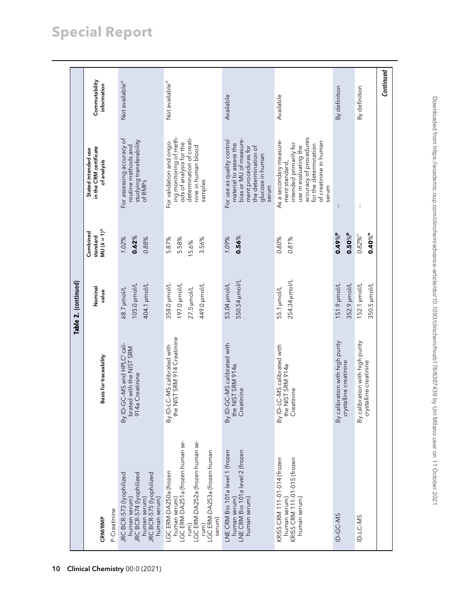|                                                                                                                                                                  |                                                                                 | Table 2. (continued)                                        |                                                |                                                                                                                                                                                    |                              |
|------------------------------------------------------------------------------------------------------------------------------------------------------------------|---------------------------------------------------------------------------------|-------------------------------------------------------------|------------------------------------------------|------------------------------------------------------------------------------------------------------------------------------------------------------------------------------------|------------------------------|
| P-Creatinine<br>CRM/RMP                                                                                                                                          | Basis for traceability                                                          | Nominal<br>value                                            | MU $(k = 1)^a$<br>Combined<br>standard         | in the CRM certificate<br>Stated intended use<br>of analysis                                                                                                                       | Commutability<br>information |
| JRC BCR-573 (lyophilized<br>JRC BCR-574 (lyophilized<br>JRC BCR-575 (lyophilized<br>human serum)<br>human serum)<br>human serum)                                 | By ID-GC-MS and HPLC cali-<br>brated with the NIST SRM<br>914a Creatinine       | 105.0 µmol/L<br>404.1 µmol/L<br>68.7 µmol/L                 | 0.62%<br>1.02%<br>0.88%                        | For assessing accuracy of<br>studying transferability<br>of RMPs<br>routine methods and                                                                                            | Not available <sup>o</sup>   |
| human serum)<br>LGC ERM-DA251a (frozen human se-<br>rum)<br>LGC ERM-DA252a (frozen human se-<br>LGC ERM-DA253a (frozen human<br>LGC ERM-DA250a (frozen<br>serum) | NIST SRM 914 Creatinine<br>By ID-LC-MS calibrated with<br>$\frac{e}{\hbar}$     | 358.0 µmol/L<br>197.0 µmol/L<br>449.0 µmol/L<br>27.5 µmol/L | 5.58%<br>5.87%<br>3.56%<br>15.6%               | ing monitoring of meth-<br>ods of analysis for the<br>determination of creati-<br>For validation and ongo-<br>nine in human blood<br>samples                                       | Not available <sup>o</sup>   |
| LNE CRM Bio 101a level 2 (frozen<br>LNE CRM Bio 101a level 1 (frozen<br>human serum)<br>human serum)                                                             | By ID-GC-MS calibrated with<br>the NIST SRM 914a<br>Creatinine                  | 550.54 µmol/L<br>53.04 µmol/L                               | $0.56\%$<br>1.09%                              | bias or MU of measure-<br>For use as quality control<br>material to assess the<br>ment procedures for<br>the determination of<br>glucose in human<br>serum                         | Available                    |
| KRISS CRM 111-01-014 (frozen<br>KRISS CRM 111-01-015 (frozen<br>human serum)<br>human serum)                                                                     | By ID-LC-MS calibrated with<br>NIST SRM 914a<br>Creatinine<br>$\frac{e}{\hbar}$ | 254.34 µmol/L<br>55.1 µmol/L                                | 0.80%<br>0.81%                                 | accuracy of procedures<br>As a secondary measure-<br>of creatinine in human<br>intended primarily for<br>for the determination<br>use in evaluating the<br>ment standard,<br>serum | Available                    |
| ID-GC-MS                                                                                                                                                         | By calibration with high purity<br>crystalline creatinine                       | 352.9 µmol/L<br>151.9 µmol/L                                | $0.49\%$ P<br>$0.50\%$ P                       |                                                                                                                                                                                    | By definition                |
| ID-LC-MS                                                                                                                                                         | By calibration with high purity<br>crystalline creatinine                       | 152.1 µmol/L<br>350.5 µmol/L                                | $0.40\%$ <sup>n</sup><br>$0.82\%$ <sup>n</sup> | $\mid$                                                                                                                                                                             | By definition                |
|                                                                                                                                                                  |                                                                                 |                                                             |                                                |                                                                                                                                                                                    | Continued                    |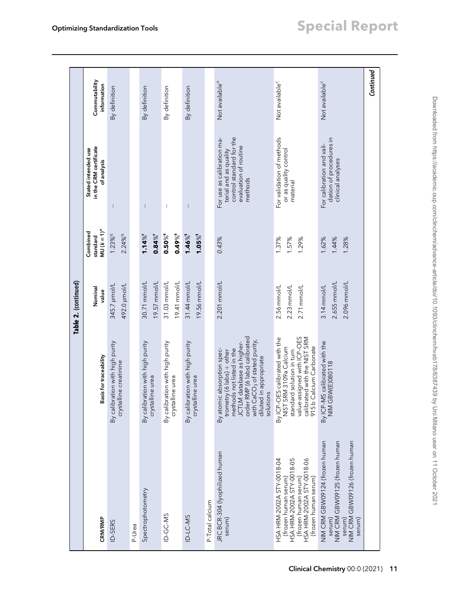|                                                                                                                                                            |                                                                                                                                                                                                                                       | Table 2. (continued)                          |                                                |                                                                                                                     |                              |
|------------------------------------------------------------------------------------------------------------------------------------------------------------|---------------------------------------------------------------------------------------------------------------------------------------------------------------------------------------------------------------------------------------|-----------------------------------------------|------------------------------------------------|---------------------------------------------------------------------------------------------------------------------|------------------------------|
| CRM/RMP                                                                                                                                                    | Basis for traceability                                                                                                                                                                                                                | Nominal<br>value                              | $MU (k = 1)^a$<br>Combined<br>standard         | in the CRM certificate<br>Stated intended use<br>of analysis                                                        | Commutability<br>information |
| ID-SERS                                                                                                                                                    | By calibration with high purity<br>crystalline creatinine                                                                                                                                                                             | 492.0 µmol/L<br>345.7 µmol/L                  | 1.23%9<br>2.24%9                               |                                                                                                                     | By definition                |
| P-Urea                                                                                                                                                     |                                                                                                                                                                                                                                       |                                               |                                                |                                                                                                                     |                              |
| Spectrophotometry                                                                                                                                          | By calibration with high purity<br>crystalline urea                                                                                                                                                                                   | 30.71 mmol/L<br>19.57 mmol/L                  | 1.14%<br>$0.84\%$                              | $\overline{\phantom{a}}$                                                                                            | By definition                |
| ID-GC-MS                                                                                                                                                   | By calibration with high purity<br>crystalline urea                                                                                                                                                                                   | 19.41 mmol/L<br>31.03 mmol/L                  | $0.49\%$ <sup>5</sup><br>$0.50\%$ <sup>5</sup> | $\begin{array}{c} \hline \end{array}$                                                                               | By definition                |
| ID-LC-MS                                                                                                                                                   | By calibration with high purity<br>crystalline urea                                                                                                                                                                                   | 19.56 mmol/L<br>31.44 mmol/L                  | $1.46\%$<br>$1.05\%$ <sup>t</sup>              | I                                                                                                                   | By definition                |
| P-Total calcium                                                                                                                                            |                                                                                                                                                                                                                                       |                                               |                                                |                                                                                                                     |                              |
| JRC BCR-304 (lyophilized human<br>serum)                                                                                                                   | order RMP (6 labs) calibrated<br>with CaCO <sub>3</sub> of stated purity,<br>JCTLM database as higher-<br>methods not listed in the<br>By atomic absorption spec-<br>trometry (6 labs) + other<br>diluted in appropriate<br>solutions | 2.201 mmol/L                                  | 0.43%                                          | control standard for the<br>For use as calibration ma-<br>evaluation of routine<br>terial and as quality<br>methods | Not available <sup>o</sup>   |
| HSA HRM-2002A STY-0018-04<br>HSA HRM-2002A STY-0018-05<br>(frozen human serum)<br>HSA HRM-2002A STY-0018-06<br>(frozen human serum)<br>(frozen human serum | value-assigned with ICP-OES<br>calibrated with the NIST SRM<br>By ICP-OES calibrated with the<br>NIST SRM 3109a Calcium<br>915b Calcium Carbonate<br>standard solution in turn                                                        | 2.56 mm ol/L<br>2.23 mmol/L<br>2.71 mmol/L    | 1.37%<br>1.57%<br>1.29%                        | For validation of methods<br>or as quality control<br>material                                                      | Not available <sup>c</sup>   |
| NIM CRM GBW09124 (frozen human<br>NIM CRM GBW09126 (frozen human<br>NIM CRM GBW09125 (frozen human<br>serum)<br>serum)<br>serum)                           | By ICP-MS calibrated with the<br>NIM GBW(E)080118                                                                                                                                                                                     | 2.655 mmol/L<br>2.096 mmol/L<br>$3.14$ mmol/L | 1.62%<br>1.44%<br>1.28%                        | dation of procedures in<br>For calibration and vali-<br>clinical analyses                                           | Not available <sup>c</sup>   |
|                                                                                                                                                            |                                                                                                                                                                                                                                       |                                               |                                                |                                                                                                                     | Continued                    |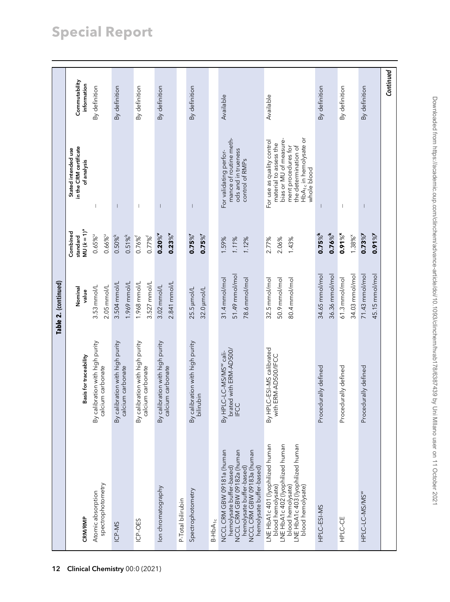# Special Report

|                                                                                                                                                                            |                                                                              | Table 2. (continued)                             |                                                |                                                                                                                                                                                    |                              |
|----------------------------------------------------------------------------------------------------------------------------------------------------------------------------|------------------------------------------------------------------------------|--------------------------------------------------|------------------------------------------------|------------------------------------------------------------------------------------------------------------------------------------------------------------------------------------|------------------------------|
| CRM/RMP                                                                                                                                                                    | Basis for traceability                                                       | Nominal                                          | Combined<br>standard                           | in the CRM certificate<br>Stated intended use                                                                                                                                      | Commutability                |
| Atomic absorption                                                                                                                                                          | By calibration with high purity                                              | 3.53 mmol/L<br>value                             | $MU (k = 1)^a$<br>$0.65\%$                     | of analysis                                                                                                                                                                        | information<br>By definition |
| spectrophotometry                                                                                                                                                          | calcium carbonate                                                            | $2.05$ mmol/L                                    | $0.66\%$                                       |                                                                                                                                                                                    |                              |
| ICP-MS                                                                                                                                                                     | By calibration with high purity                                              | 3.504 mmol/L                                     | $0.50%^{k}$                                    | T                                                                                                                                                                                  | By definition                |
|                                                                                                                                                                            | calcium carbonate                                                            | 1.969 mmol/L                                     | 0.51%                                          |                                                                                                                                                                                    |                              |
| ICP-OES                                                                                                                                                                    | By calibration with high purity<br>calcium carbonate                         | 1.968 mmol/L<br>3.527 mmol/L                     | $0.77\%$ <sup>f</sup><br>$0.76\%$ <sup>f</sup> | $\overline{\phantom{a}}$                                                                                                                                                           | By definition                |
| lon chromatography                                                                                                                                                         | By calibration with high purity<br>calcium carbonate                         | 2.841 mmol/L<br>3.02 mmol/L                      | $0.20\%$<br>$0.23\%$                           | $\overline{\phantom{a}}$                                                                                                                                                           | By definition                |
| P-Total bilirubin                                                                                                                                                          |                                                                              |                                                  |                                                |                                                                                                                                                                                    |                              |
| Spectrophotometry                                                                                                                                                          | By calibration with high purity<br>bilirubin                                 | 25.5 µmol/L<br>32.0 µmol/L                       | $0.75\%$<br>$0.75\%$                           | T                                                                                                                                                                                  | By definition                |
| $B-HbA_{1c}$                                                                                                                                                               |                                                                              |                                                  |                                                |                                                                                                                                                                                    |                              |
| NCCL CRM GBW 09181a (human<br>NCCL CRM GBW 09182a (human<br>NCCL CRM GBW 09183a (human<br>hemolysate buffer-based)<br>hemolysate buffer-based)<br>hemolysate buffer-based) | brated with ERM-AD500/<br>By HPLC-LC-MS/MS <sup>w</sup> cali-<br><b>IFCC</b> | 51.49 mmol/mol<br>31.4 mmol/mol<br>78.6 mmol/mol | 1.11%<br>1.59%<br>1.12%                        | mance of routine meth-<br>ods and in trueness<br>For validating perfor-<br>control of RMPs                                                                                         | Available                    |
| LNE HbA1c 401 (lyophilized human<br>LNE HbA1c 402 (lyophilized human<br>LNE HbA1c 403 (lyophilized human<br>blood hemolysate)<br>blood hemolysate)<br>blood hemolysate)    | By HPLC-ESI-MS calibrated<br>with ERM-AD500/IFCC                             | 32.5 mmol/mol<br>50.9 mmol/mol<br>80.4 mmol/mol  | 2.77%<br>2.06%<br>1.43%                        | HbA <sub>1c</sub> in hemolysate or<br>bias or MU of measure-<br>For use as quality control<br>material to assess the<br>ment procedures for<br>the determination of<br>whole blood | Available                    |
| HPLC-ESI-MS                                                                                                                                                                | Procedurally defined                                                         | 34.65 mmol/mol<br>36.36 mmol/mol                 | $0.75\%$ <sup>k</sup><br>$0.76\%$ <sup>k</sup> |                                                                                                                                                                                    | By definition                |
| HPLC-CE                                                                                                                                                                    | Procedurally defined                                                         | 34.03 mmol/mol<br>61.3 mmol/mol                  | $0.91\%$ <sup>x</sup><br>1.38% <sup>×</sup>    |                                                                                                                                                                                    | By definition                |
| HPLC-LC-MS/MS <sup>w</sup>                                                                                                                                                 | Procedurally defined                                                         | $71.43$ mmol/mol<br>45.15 mmol/mol               | $0.73\%$<br>$0.91\%$                           |                                                                                                                                                                                    | By definition                |
|                                                                                                                                                                            |                                                                              |                                                  |                                                |                                                                                                                                                                                    | Continued                    |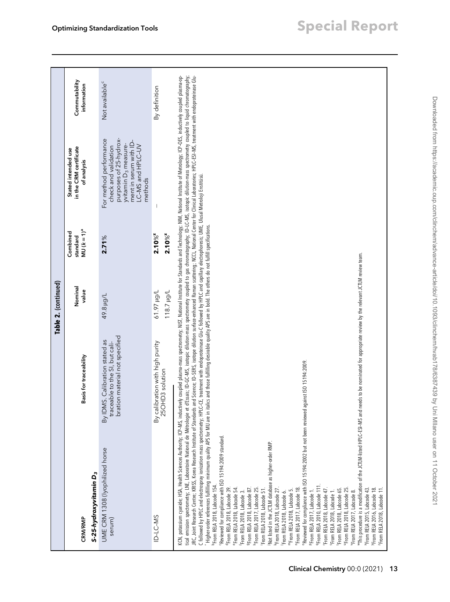|                                                                                                                                                                                                                                                                                                                                                                                                                                                                                                                                                                                                                                                                                                                                                                                                                                                                                                                                                                                                                                                                                                                                                                                                                                                                                                                                                                                                                                                                                                                                                                                                                                                                                                                                                                                                                                                                                                                                                                                                                     |                                                                                                                                                                                                                         | Table 2. (continued)            |                                                     |                                                                                                                                                                        |                              |
|---------------------------------------------------------------------------------------------------------------------------------------------------------------------------------------------------------------------------------------------------------------------------------------------------------------------------------------------------------------------------------------------------------------------------------------------------------------------------------------------------------------------------------------------------------------------------------------------------------------------------------------------------------------------------------------------------------------------------------------------------------------------------------------------------------------------------------------------------------------------------------------------------------------------------------------------------------------------------------------------------------------------------------------------------------------------------------------------------------------------------------------------------------------------------------------------------------------------------------------------------------------------------------------------------------------------------------------------------------------------------------------------------------------------------------------------------------------------------------------------------------------------------------------------------------------------------------------------------------------------------------------------------------------------------------------------------------------------------------------------------------------------------------------------------------------------------------------------------------------------------------------------------------------------------------------------------------------------------------------------------------------------|-------------------------------------------------------------------------------------------------------------------------------------------------------------------------------------------------------------------------|---------------------------------|-----------------------------------------------------|------------------------------------------------------------------------------------------------------------------------------------------------------------------------|------------------------------|
| S-25-hydroxyvitamin D <sub>3</sub><br>CRM/RMP                                                                                                                                                                                                                                                                                                                                                                                                                                                                                                                                                                                                                                                                                                                                                                                                                                                                                                                                                                                                                                                                                                                                                                                                                                                                                                                                                                                                                                                                                                                                                                                                                                                                                                                                                                                                                                                                                                                                                                       | Basis for traceability                                                                                                                                                                                                  | Nominal<br>value                | MU ( $k = 1$ ) <sup>a</sup><br>Combined<br>standard | in the CRM certificate<br>Stated intended use<br>of analysis                                                                                                           | Commutability<br>information |
| UME CRM 1308 (lyophilized horse<br>serum)                                                                                                                                                                                                                                                                                                                                                                                                                                                                                                                                                                                                                                                                                                                                                                                                                                                                                                                                                                                                                                                                                                                                                                                                                                                                                                                                                                                                                                                                                                                                                                                                                                                                                                                                                                                                                                                                                                                                                                           | bration material not specified<br>By IDMS. Calibration stated as<br>traceable to the SI, but cali-                                                                                                                      | 49.8 µg/L                       | 2.71%                                               | For method performance<br>purposes of 25-hydrox-<br>ment in serum with ID-<br>yvitamin D <sub>3</sub> measure-<br>LC-MS and HPLC-UV<br>check and validation<br>methods | Not available <sup>c</sup>   |
| ID-LC-MS                                                                                                                                                                                                                                                                                                                                                                                                                                                                                                                                                                                                                                                                                                                                                                                                                                                                                                                                                                                                                                                                                                                                                                                                                                                                                                                                                                                                                                                                                                                                                                                                                                                                                                                                                                                                                                                                                                                                                                                                            | By calibration with high purity<br>25OHD3 solution                                                                                                                                                                      | 1.61.97 µg/L<br>$118.7 \mu g/L$ | $2.10\%$ <sup>z</sup><br>$2.10\%$ <sup>z</sup>      |                                                                                                                                                                        | By definition                |
| JRC, Joint Research Centre; KRISS, Korea Research Institute of Standards and Science; ID-SERS, isotope dilution surface-enhanced Raman scattering; WCCL, National Center for Clinical Laboratories; HPLC-ESI-MS, treatment wit<br>ical emission spectrometry. UNE, Laboratoire National de Métrologie et d'Essais; ID-GC-MS, isotopic dilution-mass spectrometry coupled to gas chromatography; ID-LC-MS, isotopic dilution-mass spectrometry coupled to liquid<br>KCN, potassium oganide; HSA, Health Sciences Authority; ICP-MS, inductively coupled plasma-mass spectrometry; NIS, National Institute for Standards and Technology; NIM, National Institute of Metrology; ICP-OES, inductively<br>C followed by HPLC and electrospray ionization mass spectrometry. HPLC-CE, treatment with endopoteinase Glu-C followed by HPLC and capillary electrophoresis; UME, Ulusal Metroloji Enstitisü.<br>Peviewed for compliance with ISO 15194:2002 but not been reviewed<br>"This procedure is a modification of the JCTLM-listed HPLC-ESI-MS and<br>Higher-order references fulfilling minimum quality APS for MU are in<br>Reviewed for compliance with ISO 15194:2009 standard.<br>Not listed in the JCTLM database as higher-order RMP.<br><sup>9</sup> From RELA 2010, Labcode 111.<br><sup>b</sup> From RELA 2018, Labcode 154.<br><sup>d</sup> From RELA 2018, Labcode 39.<br><sup>h</sup> From RELA 2017, Labcode 25.<br><sup>e</sup> From RELA 2018, Labcode 54.<br>9From RELA 2018, Labcode 87.<br>"From RELA 2018, Labcode 25.<br>From RELA 2018, Labcode 27.<br>"From RELA 2017, Labcode 18.<br>From RELA 2018, Labcode 65.<br><sup>X</sup> From RELA 2015, Labcode 43.<br>From RELA 2016, Labcode 18.<br>From RELA 2018, Labcode 51.<br>From RELA 2018, Labcode 47.<br>From RELA 2018, Labcode 11.<br>"From RELA 2018, Labcode 5.<br>PFrom RELA 2017, Labcode 1.<br><sup>5</sup> From RELA 2018, Labcode 1.<br>From RELA 2018, Labcode 3.<br>"From RELA 2017, Labcode 8.<br>From RELA 2018, Labcode 6. | italics and those fulfilling desirable quality APS are in bold. The others do not fulfill specifications.<br>needs to be nominated for appropriate review by the relevant JCTLM review team.<br>against ISO 15194:2009. |                                 |                                                     |                                                                                                                                                                        |                              |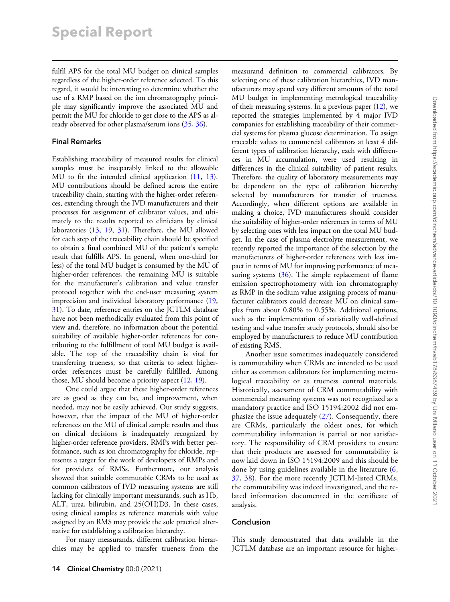fulfil APS for the total MU budget on clinical samples regardless of the higher-order reference selected. To this regard, it would be interesting to determine whether the use of a RMP based on the ion chromatography principle may significantly improve the associated MU and permit the MU for chloride to get close to the APS as already observed for other plasma/serum ions [\(35](#page-15-0), [36](#page-15-0)).

# Final Remarks

Establishing traceability of measured results for clinical samples must be inseparably linked to the allowable MU to fit the intended clinical application ([11,](#page-14-0) [13\)](#page-14-0). MU contributions should be defined across the entire traceability chain, starting with the higher-order references, extending through the IVD manufacturers and their processes for assignment of calibrator values, and ultimately to the results reported to clinicians by clinical laboratories [\(13](#page-14-0), [19,](#page-14-0) [31\)](#page-15-0). Therefore, the MU allowed for each step of the traceability chain should be specified to obtain a final combined MU of the patient's sample result that fulfills APS. In general, when one-third (or less) of the total MU budget is consumed by the MU of higher-order references, the remaining MU is suitable for the manufacturer's calibration and value transfer protocol together with the end-user measuring system imprecision and individual laboratory performance ([19,](#page-14-0) [31](#page-15-0)). To date, reference entries on the JCTLM database have not been methodically evaluated from this point of view and, therefore, no information about the potential suitability of available higher-order references for contributing to the fulfillment of total MU budget is available. The top of the traceability chain is vital for transferring trueness, so that criteria to select higherorder references must be carefully fulfilled. Among those, MU should become a priority aspect [\(12](#page-14-0), [19](#page-14-0)).

One could argue that these higher-order references are as good as they can be, and improvement, when needed, may not be easily achieved. Our study suggests, however, that the impact of the MU of higher-order references on the MU of clinical sample results and thus on clinical decisions is inadequately recognized by higher-order reference providers. RMPs with better performance, such as ion chromatography for chloride, represents a target for the work of developers of RMPs and for providers of RMSs. Furthermore, our analysis showed that suitable commutable CRMs to be used as common calibrators of IVD measuring systems are still lacking for clinically important measurands, such as Hb, ALT, urea, bilirubin, and 25(OH)D3. In these cases, using clinical samples as reference materials with value assigned by an RMS may provide the sole practical alternative for establishing a calibration hierarchy.

For many measurands, different calibration hierarchies may be applied to transfer trueness from the measurand definition to commercial calibrators. By selecting one of these calibration hierarchies, IVD manufacturers may spend very different amounts of the total MU budget in implementing metrological traceability of their measuring systems. In a previous paper [\(12](#page-14-0)), we reported the strategies implemented by 4 major IVD companies for establishing traceability of their commercial systems for plasma glucose determination. To assign traceable values to commercial calibrators at least 4 different types of calibration hierarchy, each with differences in MU accumulation, were used resulting in differences in the clinical suitability of patient results. Therefore, the quality of laboratory measurements may be dependent on the type of calibration hierarchy selected by manufacturers for transfer of trueness. Accordingly, when different options are available in making a choice, IVD manufacturers should consider the suitability of higher-order references in terms of MU by selecting ones with less impact on the total MU budget. In the case of plasma electrolyte measurement, we recently reported the importance of the selection by the manufacturers of higher-order references with less impact in terms of MU for improving performance of mea-suring systems [\(36](#page-15-0)). The simple replacement of flame emission spectrophotometry with ion chromatography as RMP in the sodium value assigning process of manufacturer calibrators could decrease MU on clinical samples from about 0.80% to 0.55%. Additional options, such as the implementation of statistically well-defined testing and value transfer study protocols, should also be employed by manufacturers to reduce MU contribution of existing RMS.

Another issue sometimes inadequately considered is commutability when CRMs are intended to be used either as common calibrators for implementing metrological traceability or as trueness control materials. Historically, assessment of CRM commutability with commercial measuring systems was not recognized as a mandatory practice and ISO 15194:2002 did not emphasize the issue adequately ([27](#page-14-0)). Consequently, there are CRMs, particularly the oldest ones, for which commutability information is partial or not satisfactory. The responsibility of CRM providers to ensure that their products are assessed for commutability is now laid down in ISO 15194:2009 and this should be done by using guidelines available in the literature ([6,](#page-14-0) [37,](#page-15-0) [38](#page-15-0)). For the more recently JCTLM-listed CRMs, the commutability was indeed investigated, and the related information documented in the certificate of analysis.

# Conclusion

This study demonstrated that data available in the JCTLM database are an important resource for higher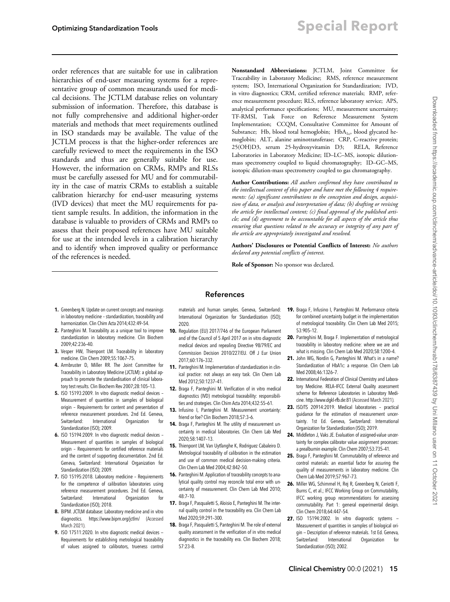<span id="page-14-0"></span>order references that are suitable for use in calibration hierarchies of end-user measuring systems for a representative group of common measurands used for medical decisions. The JCTLM database relies on voluntary submission of information. Therefore, this database is not fully comprehensive and additional higher-order materials and methods that meet requirements outlined in ISO standards may be available. The value of the JCTLM process is that the higher-order references are carefully reviewed to meet the requirements in the ISO standards and thus are generally suitable for use. However, the information on CRMs, RMPs and RLSs must be carefully assessed for MU and for commutability in the case of matrix CRMs to establish a suitable calibration hierarchy for end-user measuring systems (IVD devices) that meet the MU requirements for patient sample results. In addition, the information in the database is valuable to providers of CRMs and RMPs to assess that their proposed references have MU suitable for use at the intended levels in a calibration hierarchy and to identify when improved quality or performance of the references is needed.

Nonstandard Abbreviations: JCTLM, Joint Committee for Traceability in Laboratory Medicine; RMS, reference measurement system; ISO, International Organization for Standardization; IVD, in vitro diagnostics; CRM, certified reference materials; RMP, reference measurement procedure; RLS, reference laboratory service; APS, analytical performance specifications; MU, measurement uncertainty; TF-RMSI, Task Force on Reference Measurement System Implementation; CCQM, Consultative Committee for Amount of Substance; Hb, blood total hemoglobin;  $HbA_{1c}$ , blood glycated hemoglobin; ALT, alanine aminotransferase; CRP, C-reactive protein; 25(OH)D3, serum 25-hydroxyvitamin D3; RELA, Reference Laboratories in Laboratory Medicine; ID–LC–MS, isotopic dilutionmass spectrometry coupled to liquid chromatography; ID–GC–MS, isotopic dilution-mass spectrometry coupled to gas chromatography.

Author Contributions: All authors confirmed they have contributed to the intellectual content of this paper and have met the following 4 requirements: (a) significant contributions to the conception and design, acquisition of data, or analysis and interpretation of data; (b) drafting or revising the article for intellectual content; (c) final approval of the published article; and (d) agreement to be accountable for all aspects of the article thus ensuring that questions related to the accuracy or integrity of any part of the article are appropriately investigated and resolved.

Authors' Disclosures or Potential Conflicts of Interest: No authors declared any potential conflicts of interest.

Role of Sponsor: No sponsor was declared.

# References

- 1. Greenberg N. Update on current concepts and meanings in laboratory medicine – standardization, traceability and harmonization. Clin Chim Acta 2014;432:49–54.
- 2. Panteghini M. Traceability as a unique tool to improve standardization in laboratory medicine. Clin Biochem 2009;42:236–40.
- 3. Vesper HW, Thienpont LM. Traceability in laboratory medicine. Clin Chem 2009;55:1067–75.
- 4. Armbruster D, Miller RR. The Joint Committee for Traceability in Laboratory Medicine (JCTLM): a global approach to promote the standardisation of clinical laboratory test results. Clin Biochem Rev 2007;28:105–13.
- 5. ISO 15193:2009. In vitro diagnostic medical devices Measurement of quantities in samples of biological origin – Requirements for content and presentation of reference measurement procedures. 2nd Ed. Geneva, Switzerland: International Organization Standardization (ISO); 2009.
- 6. ISO 15194:2009. In vitro diagnostic medical devices Measurement of quantities in samples of biological origin – Requirements for certified reference materials and the content of supporting documentation. 2nd Ed. Geneva, Switzerland: International Organization for Standardization (ISO); 2009.
- 7. ISO 15195:2018. Laboratory medicine Requirements for the competence of calibration laboratories using reference measurement procedures. 2nd Ed. Geneva, Switzerland: International Organization for Standardization (ISO); 2018.
- 8. BIPM. JCTLM database: Laboratory medicine and in vitro diagnostics.<https://www.bipm.org/jctlm/> (Accessed March 2021)
- 9. ISO 17511:2020. In vitro diagnostic medical devices -Requirements for establishing metrological traceability of values assigned to calibrators, trueness control

materials and human samples. Geneva, Switzerland: International Organization for Standardization (ISO); 2020.

- 10. Regulation (EU) 2017/746 of the European Parliament and of the Council of 5 April 2017 on in vitro diagnostic medical devices and repealing Directive 98/79/EC and Commission Decision 2010/227/EU. Off J Eur Union 2017;60:176–332.
- 11. Panteghini M. Implementation of standardization in clinical practice: not always an easy task. Clin Chem Lab Med 2012;50:1237–41.
- 12. Braga F, Panteghini M. Verification of in vitro medical diagnostics (IVD) metrological traceability: responsibilities and strategies. Clin Chim Acta 2014;432:55–61.
- 13. Infusino I, Panteghini M. Measurement uncertainty: friend or foe? Clin Biochem 2018;57:3–6.
- 14. Braga F, Panteghini M. The utility of measurement uncertainty in medical laboratories. Clin Chem Lab Med 2020;58:1407–13.
- 15. Thienpont LM, Van Uytfanghe K, Rodriguez Cabaleiro D. Metrological traceability of calibration in the estimation and use of common medical decision-making criteria. Clin Chem Lab Med 2004;42:842–50.
- 16. Panteghini M. Application of traceability concepts to analytical quality control may reconcile total error with uncertainty of measurement. Clin Chem Lab Med 2010; 48:7–10.
- 17. Braga F, Pasqualetti S, Aloisio E, Panteghini M. The internal quality control in the traceability era. Clin Chem Lab Med 2020;59:291–300.
- 18. Braga F, Pasqualetti S, Panteghini M. The role of external quality assessment in the verification of in vitro medical diagnostics in the traceability era. Clin Biochem 2018; 57:23–8.
- 19. Braga F, Infusino I, Panteghini M. Performance criteria for combined uncertainty budget in the implementation of metrological traceability. Clin Chem Lab Med 2015; 53:905–12.
- 20. Panteghini M, Braga F. Implementation of metrological traceability in laboratory medicine: where we are and what is missing. Clin Chem Lab Med 2020;58:1200–4.
- 21. John WG, Nordin G, Panteghini M. What's in a name? Standardization of HbA1c: a response. Clin Chem Lab Med 2008;46:1326–7.
- 22. International Federation of Clinical Chemistry and Laboratory Medicine. RELA–IFCC External Quality assessment scheme for Reference Laboratories in Laboratory Medicine.<http://www.dgkl-rfb.de:81> (Accessed March 2021).
- 23. ISO/TS 20914:2019. Medical laboratories practical guidance for the estimation of measurement uncertainty. 1st Ed. Geneva, Switzerland: International Organization for Standardization (ISO); 2019.
- 24. Middleton J, Vaks JE. Evaluation of assigned-value uncertainty for complex calibrator value assignment processes: a prealbumin example. Clin Chem 2007;53:735–41.
- 25. Braga F, Panteghini M. Commutability of reference and control materials: an essential factor for assuring the quality of measurements in laboratory medicine. Clin Chem Lab Med 2019;57:967–73.
- 26. Miller WG, Schimmel H, Rej R, Greenberg N, Ceriotti F, Burns C, et al.; IFCC Working Group on Commutability, IFCC working group recommendations for assessing commutability. Part 1: general experimental design. Clin Chem 2018;64:447–54.
- **27.** ISO 15194:2002. In vitro diagnostic systems -Measurement of quantities in samples of biological origin — Description of reference materials. 1st Ed. Geneva, Switzerland: International Organization Standardization (ISO); 2002.